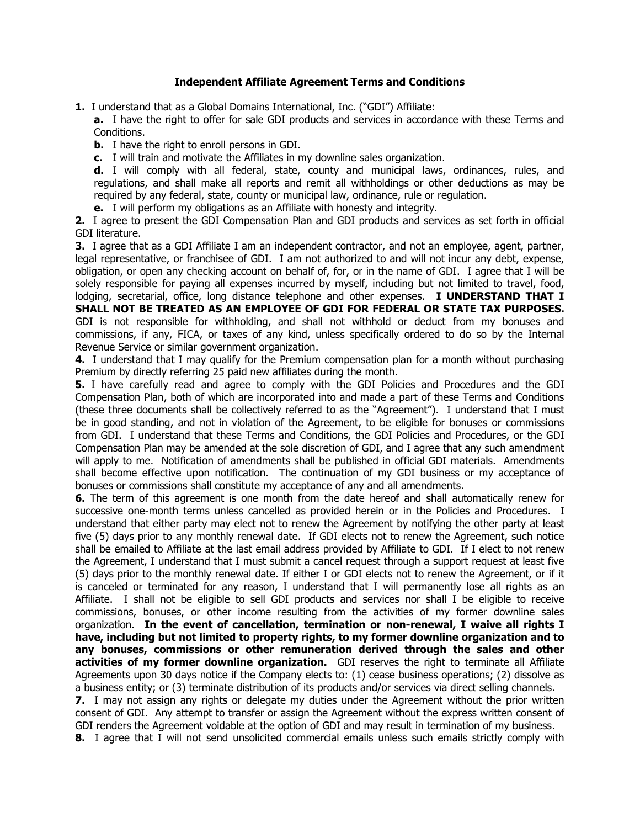## **Independent Affiliate Agreement Terms and Conditions**

**1.** I understand that as a Global Domains International, Inc. ("GDI") Affiliate:

**a.** I have the right to offer for sale GDI products and services in accordance with these Terms and Conditions.

**b.** I have the right to enroll persons in GDI.

**c.** I will train and motivate the Affiliates in my downline sales organization.

**d.** I will comply with all federal, state, county and municipal laws, ordinances, rules, and regulations, and shall make all reports and remit all withholdings or other deductions as may be required by any federal, state, county or municipal law, ordinance, rule or regulation.

**e.** I will perform my obligations as an Affiliate with honesty and integrity.

**2.** I agree to present the GDI Compensation Plan and GDI products and services as set forth in official GDI literature.

**3.** I agree that as a GDI Affiliate I am an independent contractor, and not an employee, agent, partner, legal representative, or franchisee of GDI. I am not authorized to and will not incur any debt, expense, obligation, or open any checking account on behalf of, for, or in the name of GDI. I agree that I will be solely responsible for paying all expenses incurred by myself, including but not limited to travel, food, lodging, secretarial, office, long distance telephone and other expenses. **I UNDERSTAND THAT I SHALL NOT BE TREATED AS AN EMPLOYEE OF GDI FOR FEDERAL OR STATE TAX PURPOSES.** GDI is not responsible for withholding, and shall not withhold or deduct from my bonuses and commissions, if any, FICA, or taxes of any kind, unless specifically ordered to do so by the Internal Revenue Service or similar government organization.

**4.** I understand that I may qualify for the Premium compensation plan for a month without purchasing Premium by directly referring 25 paid new affiliates during the month.

**5.** I have carefully read and agree to comply with the GDI Policies and Procedures and the GDI Compensation Plan, both of which are incorporated into and made a part of these Terms and Conditions (these three documents shall be collectively referred to as the "Agreement"). I understand that I must be in good standing, and not in violation of the Agreement, to be eligible for bonuses or commissions from GDI. I understand that these Terms and Conditions, the GDI Policies and Procedures, or the GDI Compensation Plan may be amended at the sole discretion of GDI, and I agree that any such amendment will apply to me. Notification of amendments shall be published in official GDI materials. Amendments shall become effective upon notification. The continuation of my GDI business or my acceptance of bonuses or commissions shall constitute my acceptance of any and all amendments.

**6.** The term of this agreement is one month from the date hereof and shall automatically renew for successive one-month terms unless cancelled as provided herein or in the Policies and Procedures. I understand that either party may elect not to renew the Agreement by notifying the other party at least five (5) days prior to any monthly renewal date. If GDI elects not to renew the Agreement, such notice shall be emailed to Affiliate at the last email address provided by Affiliate to GDI. If I elect to not renew the Agreement, I understand that I must submit a cancel request through a support request at least five (5) days prior to the monthly renewal date. If either I or GDI elects not to renew the Agreement, or if it is canceled or terminated for any reason, I understand that I will permanently lose all rights as an Affiliate. I shall not be eligible to sell GDI products and services nor shall I be eligible to receive commissions, bonuses, or other income resulting from the activities of my former downline sales organization. **In the event of cancellation, termination or non-renewal, I waive all rights I have, including but not limited to property rights, to my former downline organization and to any bonuses, commissions or other remuneration derived through the sales and other activities of my former downline organization.** GDI reserves the right to terminate all Affiliate Agreements upon 30 days notice if the Company elects to: (1) cease business operations; (2) dissolve as a business entity; or (3) terminate distribution of its products and/or services via direct selling channels. **7.** I may not assign any rights or delegate my duties under the Agreement without the prior written consent of GDI. Any attempt to transfer or assign the Agreement without the express written consent of

GDI renders the Agreement voidable at the option of GDI and may result in termination of my business. **8.** I agree that I will not send unsolicited commercial emails unless such emails strictly comply with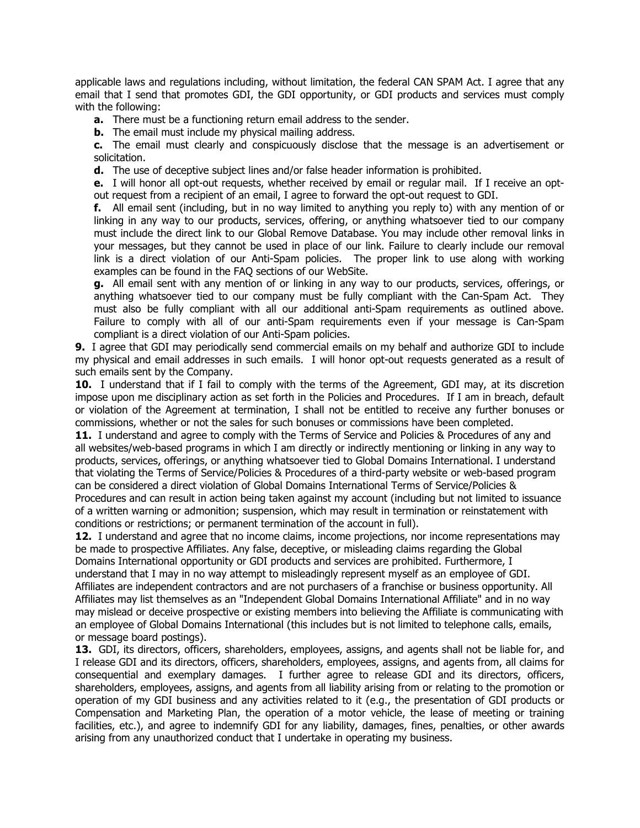applicable laws and regulations including, without limitation, the federal CAN SPAM Act. I agree that any email that I send that promotes GDI, the GDI opportunity, or GDI products and services must comply with the following:

**a.** There must be a functioning return email address to the sender.

**b.** The email must include my physical mailing address.

**c.** The email must clearly and conspicuously disclose that the message is an advertisement or solicitation.

**d.** The use of deceptive subject lines and/or false header information is prohibited.

**e.** I will honor all opt-out requests, whether received by email or regular mail. If I receive an optout request from a recipient of an email, I agree to forward the opt-out request to GDI.

**f.** All email sent (including, but in no way limited to anything you reply to) with any mention of or linking in any way to our products, services, offering, or anything whatsoever tied to our company must include the direct link to our Global Remove Database. You may include other removal links in your messages, but they cannot be used in place of our link. Failure to clearly include our removal link is a direct violation of our Anti-Spam policies. The proper link to use along with working examples can be found in the FAQ sections of our WebSite.

**g.** All email sent with any mention of or linking in any way to our products, services, offerings, or anything whatsoever tied to our company must be fully compliant with the Can-Spam Act. They must also be fully compliant with all our additional anti-Spam requirements as outlined above. Failure to comply with all of our anti-Spam requirements even if your message is Can-Spam compliant is a direct violation of our Anti-Spam policies.

**9.** I agree that GDI may periodically send commercial emails on my behalf and authorize GDI to include my physical and email addresses in such emails. I will honor opt-out requests generated as a result of such emails sent by the Company.

**10.** I understand that if I fail to comply with the terms of the Agreement, GDI may, at its discretion impose upon me disciplinary action as set forth in the Policies and Procedures. If I am in breach, default or violation of the Agreement at termination, I shall not be entitled to receive any further bonuses or commissions, whether or not the sales for such bonuses or commissions have been completed.

**11.** I understand and agree to comply with the Terms of Service and Policies & Procedures of any and all websites/web-based programs in which I am directly or indirectly mentioning or linking in any way to products, services, offerings, or anything whatsoever tied to Global Domains International. I understand that violating the Terms of Service/Policies & Procedures of a third-party website or web-based program can be considered a direct violation of Global Domains International Terms of Service/Policies & Procedures and can result in action being taken against my account (including but not limited to issuance of a written warning or admonition; suspension, which may result in termination or reinstatement with conditions or restrictions; or permanent termination of the account in full).

**12.** I understand and agree that no income claims, income projections, nor income representations may be made to prospective Affiliates. Any false, deceptive, or misleading claims regarding the Global Domains International opportunity or GDI products and services are prohibited. Furthermore, I understand that I may in no way attempt to misleadingly represent myself as an employee of GDI. Affiliates are independent contractors and are not purchasers of a franchise or business opportunity. All Affiliates may list themselves as an "Independent Global Domains International Affiliate" and in no way may mislead or deceive prospective or existing members into believing the Affiliate is communicating with an employee of Global Domains International (this includes but is not limited to telephone calls, emails, or message board postings).

**13.** GDI, its directors, officers, shareholders, employees, assigns, and agents shall not be liable for, and I release GDI and its directors, officers, shareholders, employees, assigns, and agents from, all claims for consequential and exemplary damages. I further agree to release GDI and its directors, officers, shareholders, employees, assigns, and agents from all liability arising from or relating to the promotion or operation of my GDI business and any activities related to it (e.g., the presentation of GDI products or Compensation and Marketing Plan, the operation of a motor vehicle, the lease of meeting or training facilities, etc.), and agree to indemnify GDI for any liability, damages, fines, penalties, or other awards arising from any unauthorized conduct that I undertake in operating my business.